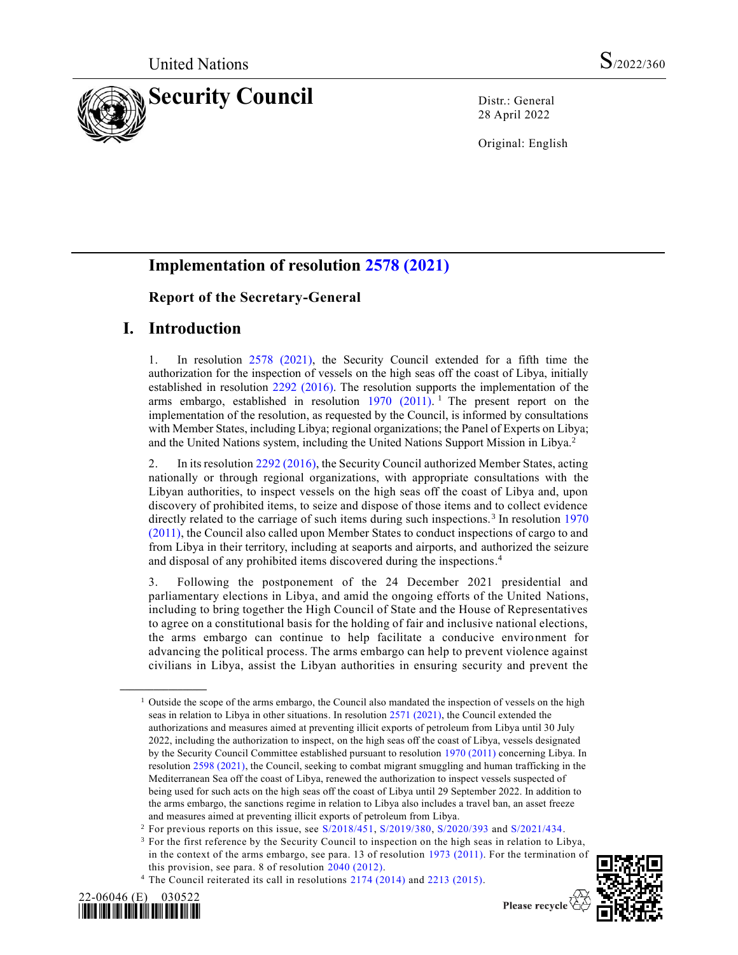

28 April 2022

Original: English

# **Implementation of resolution [2578 \(2021\)](https://undocs.org/en/S/RES/2578(2021))**

### **Report of the Secretary-General**

### **I. Introduction**

1. In resolution [2578 \(2021\),](https://undocs.org/en/S/RES/2578(2021)) the Security Council extended for a fifth time the authorization for the inspection of vessels on the high seas off the coast of Libya, initially established in resolution [2292 \(2016\).](https://undocs.org/en/S/RES/2292(2016)) The resolution supports the implementation of the arms embargo, established in resolution  $1970$  (2011).<sup>1</sup> The present report on the implementation of the resolution, as requested by the Council, is informed by consultations with Member States, including Libya; regional organizations; the Panel of Experts on Libya; and the United Nations system, including the United Nations Support Mission in Libya.<sup>2</sup>

2. In its resolutio[n 2292 \(2016\),](https://undocs.org/en/S/RES/2292(2016)) the Security Council authorized Member States, acting nationally or through regional organizations, with appropriate consultations with the Libyan authorities, to inspect vessels on the high seas off the coast of Libya and, upon discovery of prohibited items, to seize and dispose of those items and to collect evidence directly related to the carriage of such items during such inspections.<sup>3</sup> In resolution 1970 [\(2011\),](https://undocs.org/en/S/RES/1970(2011)) the Council also called upon Member States to conduct inspections of cargo to and from Libya in their territory, including at seaports and airports, and authorized the seizure and disposal of any prohibited items discovered during the inspections. 4

3. Following the postponement of the 24 December 2021 presidential and parliamentary elections in Libya, and amid the ongoing efforts of the United Nations, including to bring together the High Council of State and the House of Representatives to agree on a constitutional basis for the holding of fair and inclusive national elections, the arms embargo can continue to help facilitate a conducive environment for advancing the political process. The arms embargo can help to prevent violence against civilians in Libya, assist the Libyan authorities in ensuring security and prevent the

<sup>&</sup>lt;sup>4</sup> The Council reiterated its call in resolutions [2174 \(2014\)](https://undocs.org/en/S/RES/2174(2014)) and [2213 \(2015\).](https://undocs.org/en/S/RES/2213(2015))



**\_\_\_\_\_\_\_\_\_\_\_\_\_\_\_\_\_\_**



 $<sup>1</sup>$  Outside the scope of the arms embargo, the Council also mandated the inspection of vessels on the high</sup> seas in relation to Libya in other situations. In resolutio[n 2571 \(2021\),](https://undocs.org/en/S/RES/2571(2021)) the Council extended the authorizations and measures aimed at preventing illicit exports of petroleum from Libya until 30 July 2022, including the authorization to inspect, on the high seas off the coast of Libya, vessels designated by the Security Council Committee established pursuant to resolution [1970 \(2011\)](https://undocs.org/en/S/RES/1970(2011)) concerning Libya. In resolutio[n 2598 \(2021\),](https://undocs.org/en/S/RES/2598(2021)) the Council, seeking to combat migrant smuggling and human trafficking in the Mediterranean Sea off the coast of Libya, renewed the authorization to inspect vessels suspected of being used for such acts on the high seas off the coast of Libya until 29 September 2022. In addition to the arms embargo, the sanctions regime in relation to Libya also includes a travel ban, an asset freeze and measures aimed at preventing illicit exports of petroleum from Libya.

<sup>2</sup> For previous reports on this issue, see [S/2018/451,](https://undocs.org/en/S/2018/451) [S/2019/380,](https://undocs.org/en/S/2019/380) [S/2020/393](https://undocs.org/en/S/2020/393) and [S/2021/434.](https://undocs.org/en/S/2021/434)

<sup>&</sup>lt;sup>3</sup> For the first reference by the Security Council to inspection on the high seas in relation to Libya, in the context of the arms embargo, see para. 13 of resolution [1973 \(2011\).](https://undocs.org/en/S/RES/1973(2011)) For the termination of this provision, see para. 8 of resolution [2040 \(2012\).](https://undocs.org/en/S/RES/2040(2012))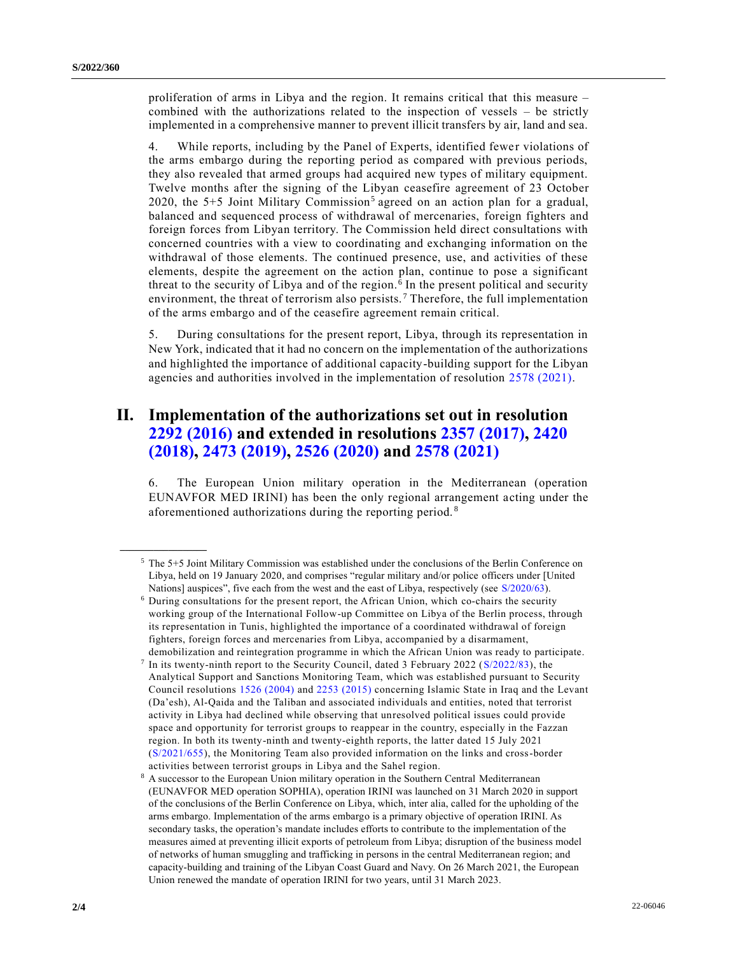proliferation of arms in Libya and the region. It remains critical that this measure – combined with the authorizations related to the inspection of vessels – be strictly implemented in a comprehensive manner to prevent illicit transfers by air, land and sea.

4. While reports, including by the Panel of Experts, identified fewer violations of the arms embargo during the reporting period as compared with previous periods, they also revealed that armed groups had acquired new types of military equipment. Twelve months after the signing of the Libyan ceasefire agreement of 23 October 2020, the 5+5 Joint Military Commission<sup>5</sup> agreed on an action plan for a gradual, balanced and sequenced process of withdrawal of mercenaries, foreign fighters and foreign forces from Libyan territory. The Commission held direct consultations with concerned countries with a view to coordinating and exchanging information on the withdrawal of those elements. The continued presence, use, and activities of these elements, despite the agreement on the action plan, continue to pose a significant threat to the security of Libya and of the region. <sup>6</sup> In the present political and security environment, the threat of terrorism also persists.<sup>7</sup> Therefore, the full implementation of the arms embargo and of the ceasefire agreement remain critical.

5. During consultations for the present report, Libya, through its representation in New York, indicated that it had no concern on the implementation of the authorizations and highlighted the importance of additional capacity-building support for the Libyan agencies and authorities involved in the implementation of resolution [2578 \(2021\).](https://undocs.org/en/S/RES/2578(2021))

# **II. Implementation of the authorizations set out in resolution [2292 \(2016\)](https://undocs.org/en/S/RES/2292(2016)) and extended in resolutions [2357 \(2017\),](https://undocs.org/en/S/RES/2357(2017)) [2420](https://undocs.org/en/S/RES/2420(2018))  [\(2018\),](https://undocs.org/en/S/RES/2420(2018)) [2473 \(2019\),](https://undocs.org/en/S/RES/2473(2019)) [2526 \(2020\)](https://undocs.org/en/S/RES/2526(2020)) and [2578 \(2021\)](https://undocs.org/en/S/RES/2578(2021))**

6. The European Union military operation in the Mediterranean (operation EUNAVFOR MED IRINI) has been the only regional arrangement acting under the aforementioned authorizations during the reporting period. <sup>8</sup>

**\_\_\_\_\_\_\_\_\_\_\_\_\_\_\_\_\_\_**

<sup>5</sup> The 5+5 Joint Military Commission was established under the conclusions of the Berlin Conference on Libya, held on 19 January 2020, and comprises "regular military and/or police officers under [United Nations] auspices", five each from the west and the east of Libya, respectively (see [S/2020/63\)](https://undocs.org/en/S/2020/63).

<sup>6</sup> During consultations for the present report, the African Union, which co-chairs the security working group of the International Follow-up Committee on Libya of the Berlin process, through its representation in Tunis, highlighted the importance of a coordinated withdrawal of foreign fighters, foreign forces and mercenaries from Libya, accompanied by a disarmament, demobilization and reintegration programme in which the African Union was ready to participate.

<sup>7</sup> In its twenty-ninth report to the Security Council, dated 3 February 2022 [\(S/2022/83\)](https://undocs.org/en/S/2022/83), the Analytical Support and Sanctions Monitoring Team, which was established pursuant to Security Council resolutions [1526 \(2004\)](https://undocs.org/en/S/RES/1526(2004)) and [2253 \(2015\)](https://undocs.org/en/S/RES/2253(2015)) concerning Islamic State in Iraq and the Levant (Da'esh), Al-Qaida and the Taliban and associated individuals and entities, noted that terrorist activity in Libya had declined while observing that unresolved political issues could provide space and opportunity for terrorist groups to reappear in the country, especially in the Fazzan region. In both its twenty-ninth and twenty-eighth reports, the latter dated 15 July 2021 [\(S/2021/655\)](https://undocs.org/en/S/2021/655), the Monitoring Team also provided information on the links and cross-border activities between terrorist groups in Libya and the Sahel region.

<sup>8</sup> A successor to the European Union military operation in the Southern Central Mediterranean (EUNAVFOR MED operation SOPHIA), operation IRINI was launched on 31 March 2020 in support of the conclusions of the Berlin Conference on Libya, which, inter alia, called for the upholding of the arms embargo. Implementation of the arms embargo is a primary objective of operation IRINI. As secondary tasks, the operation's mandate includes efforts to contribute to the implementation of the measures aimed at preventing illicit exports of petroleum from Libya; disruption of the business model of networks of human smuggling and trafficking in persons in the central Mediterranean region; and capacity-building and training of the Libyan Coast Guard and Navy. On 26 March 2021, the European Union renewed the mandate of operation IRINI for two years, until 31 March 2023.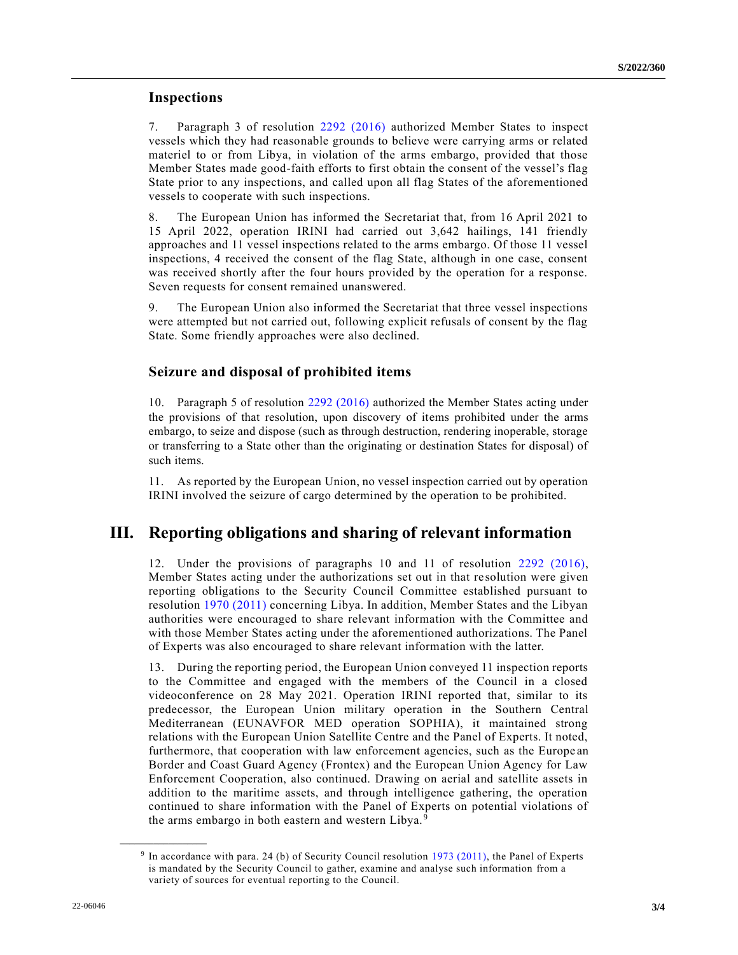#### **Inspections**

7. Paragraph 3 of resolution [2292 \(2016\)](https://undocs.org/en/S/RES/2292(2016)) authorized Member States to inspect vessels which they had reasonable grounds to believe were carrying arms or related materiel to or from Libya, in violation of the arms embargo, provided that those Member States made good-faith efforts to first obtain the consent of the vessel's flag State prior to any inspections, and called upon all flag States of the aforementioned vessels to cooperate with such inspections.

8. The European Union has informed the Secretariat that, from 16 April 2021 to 15 April 2022, operation IRINI had carried out 3,642 hailings, 141 friendly approaches and 11 vessel inspections related to the arms embargo. Of those 11 vessel inspections, 4 received the consent of the flag State, although in one case, consent was received shortly after the four hours provided by the operation for a response. Seven requests for consent remained unanswered.

9. The European Union also informed the Secretariat that three vessel inspections were attempted but not carried out, following explicit refusals of consent by the flag State. Some friendly approaches were also declined.

#### **Seizure and disposal of prohibited items**

10. Paragraph 5 of resolution [2292 \(2016\)](https://undocs.org/en/S/RES/2292(2016)) authorized the Member States acting under the provisions of that resolution, upon discovery of items prohibited under the arms embargo, to seize and dispose (such as through destruction, rendering inoperable, storage or transferring to a State other than the originating or destination States for disposal) of such items.

11. As reported by the European Union, no vessel inspection carried out by operation IRINI involved the seizure of cargo determined by the operation to be prohibited.

## **III. Reporting obligations and sharing of relevant information**

12. Under the provisions of paragraphs 10 and 11 of resolution [2292 \(2016\),](https://undocs.org/en/S/RES/2292(2016)) Member States acting under the authorizations set out in that re solution were given reporting obligations to the Security Council Committee established pursuant to resolution [1970 \(2011\)](https://undocs.org/en/S/RES/1970(2011)) concerning Libya. In addition, Member States and the Libyan authorities were encouraged to share relevant information with the Committee and with those Member States acting under the aforementioned authorizations. The Panel of Experts was also encouraged to share relevant information with the latter.

13. During the reporting period, the European Union conveyed 11 inspection reports to the Committee and engaged with the members of the Council in a closed videoconference on 28 May 2021. Operation IRINI reported that, similar to its predecessor, the European Union military operation in the Southern Central Mediterranean (EUNAVFOR MED operation SOPHIA), it maintained strong relations with the European Union Satellite Centre and the Panel of Experts. It noted, furthermore, that cooperation with law enforcement agencies, such as the Europe an Border and Coast Guard Agency (Frontex) and the European Union Agency for Law Enforcement Cooperation, also continued. Drawing on aerial and satellite assets in addition to the maritime assets, and through intelligence gathering, the operation continued to share information with the Panel of Experts on potential violations of the arms embargo in both eastern and western Libya.<sup>9</sup>

**\_\_\_\_\_\_\_\_\_\_\_\_\_\_\_\_\_\_**

<sup>&</sup>lt;sup>9</sup> In accordance with para. 24 (b) of Security Council resolution [1973 \(2011\),](https://undocs.org/en/S/RES/1973(2011)) the Panel of Experts is mandated by the Security Council to gather, examine and analyse such information from a variety of sources for eventual reporting to the Council.